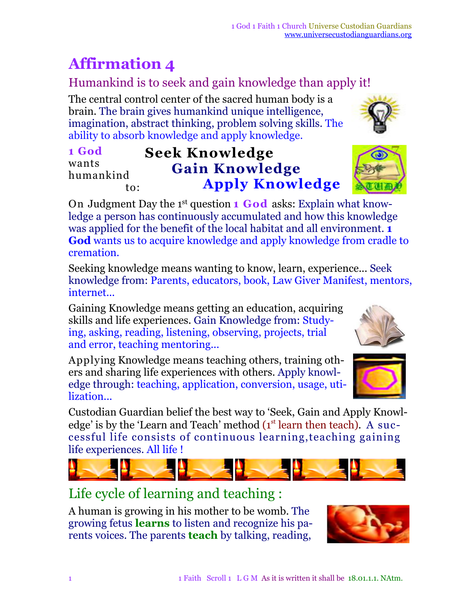# **Affirmation 4**

### Humankind is to seek and gain knowledge than apply it!

The central control center of the sacred human body is a brain. The brain gives humankind unique intelligence, imagination, abstract thinking, problem solving skills. The ability to absorb knowledge and apply knowledge.

#### **1 God** wants humankind to: **Seek Knowledge Gain Knowledge Apply Knowledge**

On Judgment Day the 1 st question **1 God** asks: Explain what knowledge a person has continuously accumulated and how this knowledge was applied for the benefit of the local habitat and all environment. **1 God** wants us to acquire knowledge and apply knowledge from cradle to cremation.

Seeking knowledge means wanting to know, learn, experience... Seek knowledge from: Parents, educators, book, Law Giver Manifest, mentors, internet...

Gaining Knowledge means getting an education, acquiring skills and life experiences. Gain Knowledge from: Studying, asking, reading, listening, observing, projects, trial and error, teaching mentoring...

Applying Knowledge means teaching others, training others and sharing life experiences with others. Apply knowledge through: teaching, application, conversion, usage, utilization...

Custodian Guardian belief the best way to 'Seek, Gain and Apply Knowledge' is by the 'Learn and Teach' method  $(1<sup>st</sup>$  learn then teach). A successful life consists of continuous learning,teaching gaining life experiences. All life !

## Life cycle of learning and teaching :

A human is growing in his mother to be womb. The growing fetus **learns** to listen and recognize his parents voices. The parents **teach** by talking, reading,





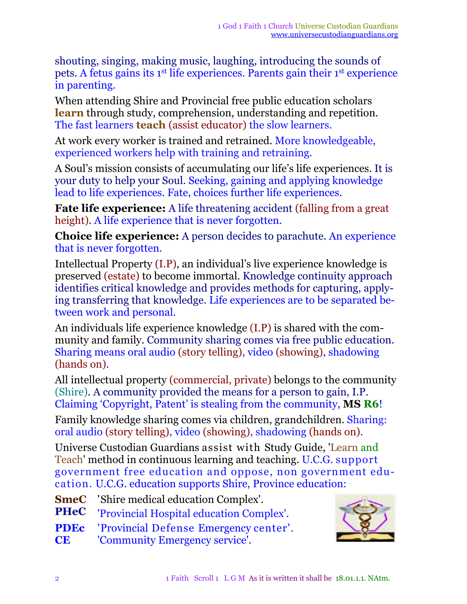shouting, singing, making music, laughing, introducing the sounds of pets. A fetus gains its 1<sup>st</sup> life experiences. Parents gain their 1<sup>st</sup> experience in parenting.

When attending Shire and Provincial free public education scholars **learn** through study, comprehension, understanding and repetition. The fast learners **teach** (assist educator) the slow learners.

At work every worker is trained and retrained. More knowledgeable, experienced workers help with training and retraining.

A Soul's mission consists of accumulating our life's life experiences. It is your duty to help your Soul. Seeking, gaining and applying knowledge lead to life experiences. Fate, choices further life experiences.

**Fate life experience:** A life threatening accident (falling from a great height). A life experience that is never forgotten.

**Choice life experience:** A person decides to parachute. An experience that is never forgotten.

Intellectual Property (I.P), an individual's live experience knowledge is preserved (estate) to become immortal. Knowledge continuity approach identifies critical knowledge and provides methods for capturing, applying transferring that knowledge. Life experiences are to be separated between work and personal.

An individuals life experience knowledge (I.P) is shared with the community and family. Community sharing comes via free public education. Sharing means oral audio (story telling), video (showing), shadowing (hands on).

All intellectual property (commercial, private) belongs to the community (Shire). A community provided the means for a person to gain, I.P. Claiming 'Copyright, Patent' is stealing from the community, **MS R6**!

Family knowledge sharing comes via children, grandchildren. Sharing: oral audio (story telling), video (showing), shadowing (hands on).

Universe Custodian Guardians assist with Study Guide, 'Learn and Teach' method in continuous learning and teaching. U.C.G. support government free education and oppose, non government education. U.C.G. education supports Shire, Province education:

- **SmeC** 'Shire medical education Complex'.
- **PHeC** 'Provincial Hospital education Complex'.
- **PDEc** 'Provincial Defense Emergency center'.
- **CE** 'Community Emergency service'.

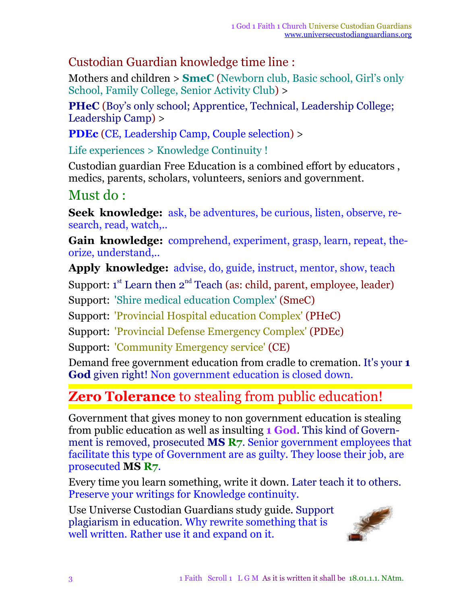#### Custodian Guardian knowledge time line :

Mothers and children > **SmeC** (Newborn club, Basic school, Girl's only School, Family College, Senior Activity Club) >

**PHeC** (Boy's only school; Apprentice, Technical, Leadership College; Leadership Camp) >

**PDEc** (CE, Leadership Camp, Couple selection) >

Life experiences > Knowledge Continuity !

Custodian guardian Free Education is a combined effort by educators , medics, parents, scholars, volunteers, seniors and government.

## Must do :

**Seek knowledge:** ask, be adventures, be curious, listen, observe, research, read, watch,..

**Gain knowledge:** comprehend, experiment, grasp, learn, repeat, theorize, understand,..

**Apply knowledge:** advise, do, guide, instruct, mentor, show, teach

Support:  $1^{st}$  Learn then  $2^{nd}$  Teach (as: child, parent, employee, leader)

Support: 'Shire medical education Complex' (SmeC)

Support: 'Provincial Hospital education Complex' (PHeC)

Support: 'Provincial Defense Emergency Complex' (PDEc)

Support: 'Community Emergency service' (CE)

Demand free government education from cradle to cremation. It's your **1 God** given right! Non government education is closed down.

## **Zero Tolerance** to stealing from public education!

Government that gives money to non government education is stealing from public education as well as insulting **1 God**. This kind of Government is removed, prosecuted **MS R7**. Senior government employees that facilitate this type of Government are as guilty. They loose their job, are prosecuted **MS R7**.

Every time you learn something, write it down. Later teach it to others. Preserve your writings for Knowledge continuity.

Use Universe Custodian Guardians study guide. Support plagiarism in education. Why rewrite something that is well written. Rather use it and expand on it.